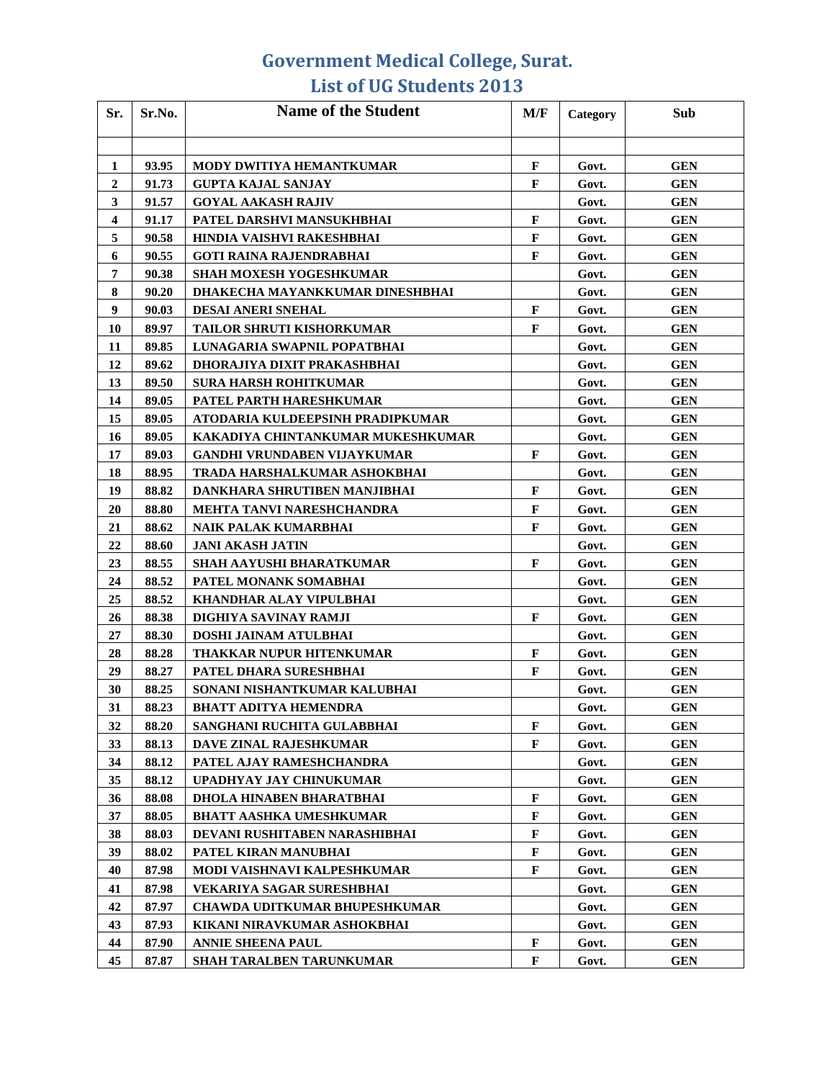| Sr.              | Sr.No. | <b>Name of the Student</b>           | M/F          | Category | Sub        |
|------------------|--------|--------------------------------------|--------------|----------|------------|
|                  |        |                                      |              |          |            |
| 1                | 93.95  | <b>MODY DWITIYA HEMANTKUMAR</b>      | F            | Govt.    | <b>GEN</b> |
| $\boldsymbol{2}$ | 91.73  | <b>GUPTA KAJAL SANJAY</b>            | F            | Govt.    | <b>GEN</b> |
| 3                | 91.57  | <b>GOYAL AAKASH RAJIV</b>            |              | Govt.    | <b>GEN</b> |
| $\boldsymbol{4}$ | 91.17  | PATEL DARSHVI MANSUKHBHAI            | F            | Govt.    | <b>GEN</b> |
| 5                | 90.58  | HINDIA VAISHVI RAKESHBHAI            | $\mathbf{F}$ | Govt.    | <b>GEN</b> |
| 6                | 90.55  | <b>GOTI RAINA RAJENDRABHAI</b>       | F            | Govt.    | <b>GEN</b> |
| 7                | 90.38  | SHAH MOXESH YOGESHKUMAR              |              | Govt.    | <b>GEN</b> |
| 8                | 90.20  | DHAKECHA MAYANKKUMAR DINESHBHAI      |              | Govt.    | <b>GEN</b> |
| 9                | 90.03  | DESAI ANERI SNEHAL                   | $\mathbf F$  | Govt.    | <b>GEN</b> |
| 10               | 89.97  | <b>TAILOR SHRUTI KISHORKUMAR</b>     | F            | Govt.    | <b>GEN</b> |
| 11               | 89.85  | LUNAGARIA SWAPNIL POPATBHAI          |              | Govt.    | <b>GEN</b> |
| 12               | 89.62  | DHORAJIYA DIXIT PRAKASHBHAI          |              | Govt.    | GEN        |
| 13               | 89.50  | <b>SURA HARSH ROHITKUMAR</b>         |              | Govt.    | <b>GEN</b> |
| 14               | 89.05  | PATEL PARTH HARESHKUMAR              |              | Govt.    | <b>GEN</b> |
| 15               | 89.05  | ATODARIA KULDEEPSINH PRADIPKUMAR     |              | Govt.    | GEN        |
| 16               | 89.05  | KAKADIYA CHINTANKUMAR MUKESHKUMAR    |              | Govt.    | <b>GEN</b> |
| 17               | 89.03  | <b>GANDHI VRUNDABEN VIJAYKUMAR</b>   | F            | Govt.    | <b>GEN</b> |
| 18               | 88.95  | TRADA HARSHALKUMAR ASHOKBHAI         |              | Govt.    | <b>GEN</b> |
| 19               | 88.82  | DANKHARA SHRUTIBEN MANJIBHAI         | F            | Govt.    | <b>GEN</b> |
| 20               | 88.80  | <b>MEHTA TANVI NARESHCHANDRA</b>     | F            | Govt.    | <b>GEN</b> |
| 21               | 88.62  | NAIK PALAK KUMARBHAI                 | $\mathbf{F}$ | Govt.    | <b>GEN</b> |
| 22               | 88.60  | <b>JANI AKASH JATIN</b>              |              | Govt.    | <b>GEN</b> |
| 23               | 88.55  | SHAH AAYUSHI BHARATKUMAR             | F            | Govt.    | <b>GEN</b> |
| 24               | 88.52  | PATEL MONANK SOMABHAI                |              | Govt.    | <b>GEN</b> |
| 25               | 88.52  | KHANDHAR ALAY VIPULBHAI              |              | Govt.    | <b>GEN</b> |
| 26               | 88.38  | DIGHIYA SAVINAY RAMJI                | F            | Govt.    | <b>GEN</b> |
| 27               | 88.30  | DOSHI JAINAM ATULBHAI                |              | Govt.    | <b>GEN</b> |
| 28               | 88.28  | THAKKAR NUPUR HITENKUMAR             | $\mathbf{F}$ | Govt.    | <b>GEN</b> |
| 29               | 88.27  | PATEL DHARA SURESHBHAI               | F            | Govt.    | <b>GEN</b> |
| 30               | 88.25  | SONANI NISHANTKUMAR KALUBHAI         |              | Govt.    | <b>GEN</b> |
| 31               | 88.23  | <b>BHATT ADITYA HEMENDRA</b>         |              | Govt.    | <b>GEN</b> |
| 32               | 88.20  | SANGHANI RUCHITA GULABBHAI           | $\mathbf{F}$ | Govt.    | <b>GEN</b> |
| 33               | 88.13  | DAVE ZINAL RAJESHKUMAR               | F            | Govt.    | <b>GEN</b> |
| 34               | 88.12  | PATEL AJAY RAMESHCHANDRA             |              | Govt.    | GEN        |
| 35               | 88.12  | UPADHYAY JAY CHINUKUMAR              |              | Govt.    | GEN        |
| 36               | 88.08  | DHOLA HINABEN BHARATBHAI             | F            | Govt.    | GEN        |
| 37               | 88.05  | <b>BHATT AASHKA UMESHKUMAR</b>       | F            | Govt.    | GEN        |
| 38               | 88.03  | DEVANI RUSHITABEN NARASHIBHAI        | F            | Govt.    | GEN        |
| 39               | 88.02  | PATEL KIRAN MANUBHAI                 | $\mathbf F$  | Govt.    | GEN        |
| 40               | 87.98  | MODI VAISHNAVI KALPESHKUMAR          | $\mathbf F$  | Govt.    | <b>GEN</b> |
| 41               | 87.98  | <b>VEKARIYA SAGAR SURESHBHAI</b>     |              | Govt.    | <b>GEN</b> |
| 42               | 87.97  | <b>CHAWDA UDITKUMAR BHUPESHKUMAR</b> |              | Govt.    | GEN        |
| 43               | 87.93  | KIKANI NIRAVKUMAR ASHOKBHAI          |              | Govt.    | <b>GEN</b> |
| 44               | 87.90  | <b>ANNIE SHEENA PAUL</b>             | F            | Govt.    | <b>GEN</b> |
| 45               | 87.87  | <b>SHAH TARALBEN TARUNKUMAR</b>      | F            | Govt.    | <b>GEN</b> |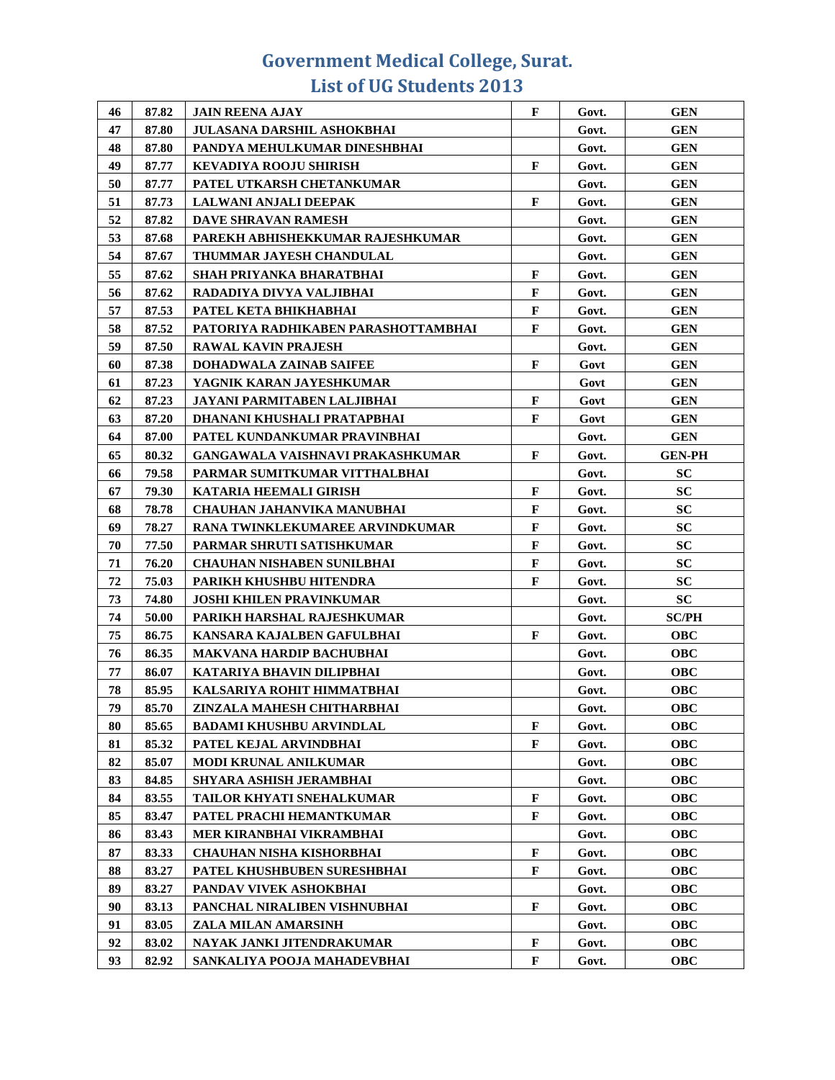| 46 | 87.82 | <b>JAIN REENA AJAY</b>                 | F            | Govt. | <b>GEN</b>    |
|----|-------|----------------------------------------|--------------|-------|---------------|
| 47 | 87.80 | JULASANA DARSHIL ASHOKBHAI             |              | Govt. | <b>GEN</b>    |
| 48 | 87.80 | PANDYA MEHULKUMAR DINESHBHAI           |              | Govt. | <b>GEN</b>    |
| 49 | 87.77 | <b>KEVADIYA ROOJU SHIRISH</b>          | F            | Govt. | <b>GEN</b>    |
| 50 | 87.77 | PATEL UTKARSH CHETANKUMAR              |              | Govt. | <b>GEN</b>    |
| 51 | 87.73 | LALWANI ANJALI DEEPAK                  | F            | Govt. | <b>GEN</b>    |
| 52 | 87.82 | <b>DAVE SHRAVAN RAMESH</b>             |              | Govt. | <b>GEN</b>    |
| 53 | 87.68 | PAREKH ABHISHEKKUMAR RAJESHKUMAR       |              | Govt. | <b>GEN</b>    |
| 54 | 87.67 | THUMMAR JAYESH CHANDULAL               |              | Govt. | <b>GEN</b>    |
| 55 | 87.62 | <b>SHAH PRIYANKA BHARATBHAI</b>        | F            | Govt. | <b>GEN</b>    |
| 56 | 87.62 | RADADIYA DIVYA VALJIBHAI               | F            | Govt. | <b>GEN</b>    |
| 57 | 87.53 | PATEL KETA BHIKHABHAI                  | $\mathbf{F}$ | Govt. | <b>GEN</b>    |
| 58 | 87.52 | PATORIYA RADHIKABEN PARASHOTTAMBHAI    | F            | Govt. | <b>GEN</b>    |
| 59 | 87.50 | <b>RAWAL KAVIN PRAJESH</b>             |              | Govt. | <b>GEN</b>    |
| 60 | 87.38 | <b>DOHADWALA ZAINAB SAIFEE</b>         | F            | Govt  | <b>GEN</b>    |
| 61 | 87.23 | YAGNIK KARAN JAYESHKUMAR               |              | Govt  | <b>GEN</b>    |
| 62 | 87.23 | JAYANI PARMITABEN LALJIBHAI            | $\mathbf F$  | Govt  | <b>GEN</b>    |
| 63 | 87.20 | DHANANI KHUSHALI PRATAPBHAI            | F            | Govt  | <b>GEN</b>    |
| 64 | 87.00 | PATEL KUNDANKUMAR PRAVINBHAI           |              | Govt. | <b>GEN</b>    |
| 65 | 80.32 | GANGAWALA VAISHNAVI PRAKASHKUMAR       | F            | Govt. | <b>GEN-PH</b> |
| 66 | 79.58 | PARMAR SUMITKUMAR VITTHALBHAI          |              | Govt. | <b>SC</b>     |
| 67 | 79.30 | KATARIA HEEMALI GIRISH                 | $\mathbf F$  | Govt. | <b>SC</b>     |
| 68 | 78.78 | <b>CHAUHAN JAHANVIKA MANUBHAI</b>      | $\mathbf F$  | Govt. | <b>SC</b>     |
| 69 | 78.27 | <b>RANA TWINKLEKUMAREE ARVINDKUMAR</b> | F            | Govt. | <b>SC</b>     |
| 70 | 77.50 | PARMAR SHRUTI SATISHKUMAR              | F            | Govt. | <b>SC</b>     |
| 71 | 76.20 | <b>CHAUHAN NISHABEN SUNILBHAI</b>      | $\mathbf F$  | Govt. | <b>SC</b>     |
| 72 | 75.03 | PARIKH KHUSHBU HITENDRA                | F            | Govt. | <b>SC</b>     |
| 73 | 74.80 | <b>JOSHI KHILEN PRAVINKUMAR</b>        |              | Govt. | SC            |
| 74 | 50.00 | PARIKH HARSHAL RAJESHKUMAR             |              | Govt. | <b>SC/PH</b>  |
| 75 | 86.75 | KANSARA KAJALBEN GAFULBHAI             | F            | Govt. | <b>OBC</b>    |
| 76 | 86.35 | <b>MAKVANA HARDIP BACHUBHAI</b>        |              | Govt. | <b>OBC</b>    |
| 77 | 86.07 | KATARIYA BHAVIN DILIPBHAI              |              | Govt. | <b>OBC</b>    |
| 78 | 85.95 | KALSARIYA ROHIT HIMMATBHAI             |              | Govt. | <b>OBC</b>    |
| 79 | 85.70 | ZINZALA MAHESH CHITHARBHAI             |              | Govt. | <b>OBC</b>    |
| 80 | 85.65 | <b>BADAMI KHUSHBU ARVINDLAL</b>        | F            | Govt. | <b>OBC</b>    |
| 81 | 85.32 | PATEL KEJAL ARVINDBHAI                 | F            | Govt. | <b>OBC</b>    |
| 82 | 85.07 | MODI KRUNAL ANILKUMAR                  |              | Govt. | <b>OBC</b>    |
| 83 | 84.85 | SHYARA ASHISH JERAMBHAI                |              | Govt. | <b>OBC</b>    |
| 84 | 83.55 | TAILOR KHYATI SNEHALKUMAR              | F            | Govt. | <b>OBC</b>    |
| 85 | 83.47 | PATEL PRACHI HEMANTKUMAR               | F            | Govt. | <b>OBC</b>    |
| 86 | 83.43 | MER KIRANBHAI VIKRAMBHAI               |              | Govt. | <b>OBC</b>    |
| 87 | 83.33 | <b>CHAUHAN NISHA KISHORBHAI</b>        | F            | Govt. | <b>OBC</b>    |
| 88 | 83.27 | PATEL KHUSHBUBEN SURESHBHAI            | F            | Govt. | <b>OBC</b>    |
| 89 | 83.27 | PANDAV VIVEK ASHOKBHAI                 |              | Govt. | <b>OBC</b>    |
| 90 | 83.13 | PANCHAL NIRALIBEN VISHNUBHAI           | F            | Govt. | <b>OBC</b>    |
| 91 | 83.05 | ZALA MILAN AMARSINH                    |              | Govt. | <b>OBC</b>    |
| 92 | 83.02 | NAYAK JANKI JITENDRAKUMAR              | F            | Govt. | <b>OBC</b>    |
| 93 | 82.92 | SANKALIYA POOJA MAHADEVBHAI            | F            | Govt. | <b>OBC</b>    |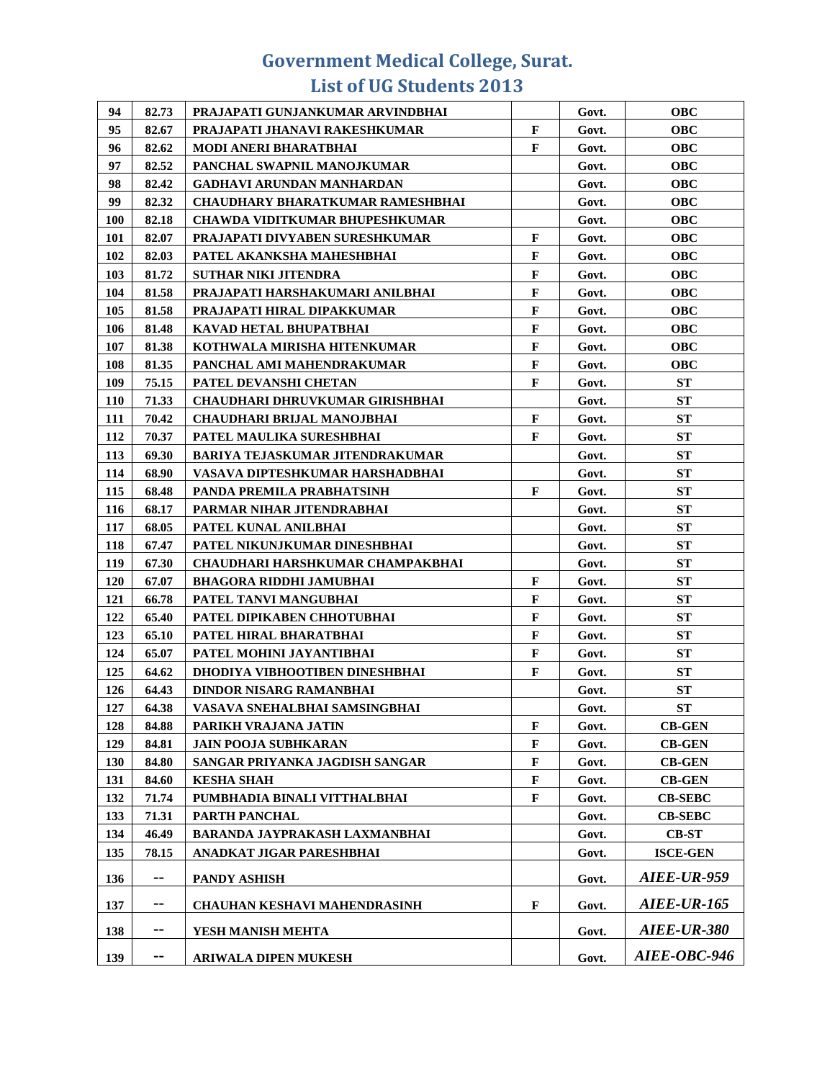| 94         | 82.73 | PRAJAPATI GUNJANKUMAR ARVINDBHAI        |              | Govt. | <b>OBC</b>         |
|------------|-------|-----------------------------------------|--------------|-------|--------------------|
| 95         | 82.67 | PRAJAPATI JHANAVI RAKESHKUMAR           | $\mathbf F$  | Govt. | <b>OBC</b>         |
| 96         | 82.62 | <b>MODI ANERI BHARATBHAI</b>            | F            | Govt. | <b>OBC</b>         |
| 97         | 82.52 | PANCHAL SWAPNIL MANOJKUMAR              |              | Govt. | <b>OBC</b>         |
| 98         | 82.42 | <b>GADHAVI ARUNDAN MANHARDAN</b>        |              | Govt. | <b>OBC</b>         |
| 99         | 82.32 | <b>CHAUDHARY BHARATKUMAR RAMESHBHAI</b> |              | Govt. | <b>OBC</b>         |
| 100        | 82.18 | <b>CHAWDA VIDITKUMAR BHUPESHKUMAR</b>   |              | Govt. | <b>OBC</b>         |
| 101        | 82.07 | PRAJAPATI DIVYABEN SURESHKUMAR          | $\mathbf F$  | Govt. | <b>OBC</b>         |
| 102        | 82.03 | PATEL AKANKSHA MAHESHBHAI               | $\mathbf{F}$ | Govt. | <b>OBC</b>         |
| 103        | 81.72 | <b>SUTHAR NIKI JITENDRA</b>             | F            | Govt. | <b>OBC</b>         |
| 104        | 81.58 | PRAJAPATI HARSHAKUMARI ANILBHAI         | F            | Govt. | <b>OBC</b>         |
| 105        | 81.58 | PRAJAPATI HIRAL DIPAKKUMAR              | $\mathbf{F}$ | Govt. | <b>OBC</b>         |
| 106        | 81.48 | KAVAD HETAL BHUPATBHAI                  | $\mathbf{F}$ | Govt. | <b>OBC</b>         |
| 107        | 81.38 | KOTHWALA MIRISHA HITENKUMAR             | $\mathbf{F}$ | Govt. | <b>OBC</b>         |
| 108        | 81.35 | PANCHAL AMI MAHENDRAKUMAR               | F            | Govt. | <b>OBC</b>         |
| 109        | 75.15 | PATEL DEVANSHI CHETAN                   | F            | Govt. | <b>ST</b>          |
| <b>110</b> | 71.33 | <b>CHAUDHARI DHRUVKUMAR GIRISHBHAI</b>  |              | Govt. | <b>ST</b>          |
| 111        | 70.42 | <b>CHAUDHARI BRIJAL MANOJBHAI</b>       | F            | Govt. | <b>ST</b>          |
| 112        | 70.37 | PATEL MAULIKA SURESHBHAI                | F            | Govt. | <b>ST</b>          |
| 113        | 69.30 | <b>BARIYA TEJASKUMAR JITENDRAKUMAR</b>  |              | Govt. | ST                 |
| 114        | 68.90 | VASAVA DIPTESHKUMAR HARSHADBHAI         |              | Govt. | <b>ST</b>          |
| 115        | 68.48 | PANDA PREMILA PRABHATSINH               | F            | Govt. | ST                 |
| 116        | 68.17 | PARMAR NIHAR JITENDRABHAI               |              | Govt. | <b>ST</b>          |
| 117        | 68.05 | PATEL KUNAL ANILBHAI                    |              | Govt. | ST                 |
| 118        | 67.47 | PATEL NIKUNJKUMAR DINESHBHAI            |              | Govt. | ST                 |
| 119        | 67.30 | CHAUDHARI HARSHKUMAR CHAMPAKBHAI        |              | Govt. | ST                 |
| 120        | 67.07 | <b>BHAGORA RIDDHI JAMUBHAI</b>          | F            | Govt. | ST                 |
| 121        | 66.78 | PATEL TANVI MANGUBHAI                   | F            | Govt. | <b>ST</b>          |
| 122        | 65.40 | PATEL DIPIKABEN CHHOTUBHAI              | F            | Govt. | <b>ST</b>          |
| 123        | 65.10 | PATEL HIRAL BHARATBHAI                  | F            | Govt. | <b>ST</b>          |
| 124        | 65.07 | PATEL MOHINI JAYANTIBHAI                | $\mathbf F$  | Govt. | <b>ST</b>          |
| 125        | 64.62 | DHODIYA VIBHOOTIBEN DINESHBHAI          | F            | Govt. | ST                 |
| 126        | 64.43 | DINDOR NISARG RAMANBHAI                 |              | Govt. | <b>ST</b>          |
| 127        | 64.38 | VASAVA SNEHALBHAI SAMSINGBHAI           |              | Govt. | ST                 |
| 128        | 84.88 | PARIKH VRAJANA JATIN                    | F            | Govt. | <b>CB-GEN</b>      |
| 129        | 84.81 | <b>JAIN POOJA SUBHKARAN</b>             | F            | Govt. | <b>CB-GEN</b>      |
| 130        | 84.80 | SANGAR PRIYANKA JAGDISH SANGAR          | $\mathbf F$  | Govt. | <b>CB-GEN</b>      |
| 131        | 84.60 | <b>KESHA SHAH</b>                       | $\mathbf F$  | Govt. | <b>CB-GEN</b>      |
| 132        | 71.74 | PUMBHADIA BINALI VITTHALBHAI            | F            | Govt. | <b>CB-SEBC</b>     |
| 133        | 71.31 | PARTH PANCHAL                           |              | Govt. | <b>CB-SEBC</b>     |
| 134        | 46.49 | BARANDA JAYPRAKASH LAXMANBHAI           |              | Govt. | <b>CB-ST</b>       |
| 135        | 78.15 | ANADKAT JIGAR PARESHBHAI                |              | Govt. | <b>ISCE-GEN</b>    |
| 136        | --    | <b>PANDY ASHISH</b>                     |              | Govt. | <b>AIEE-UR-959</b> |
| 137        | ۰.    | <b>CHAUHAN KESHAVI MAHENDRASINH</b>     | F            | Govt. | <b>AIEE-UR-165</b> |
| 138        | ۰.    | YESH MANISH MEHTA                       |              | Govt. | <b>AIEE-UR-380</b> |
| 139        | --    | <b>ARIWALA DIPEN MUKESH</b>             |              | Govt. | AIEE-OBC-946       |